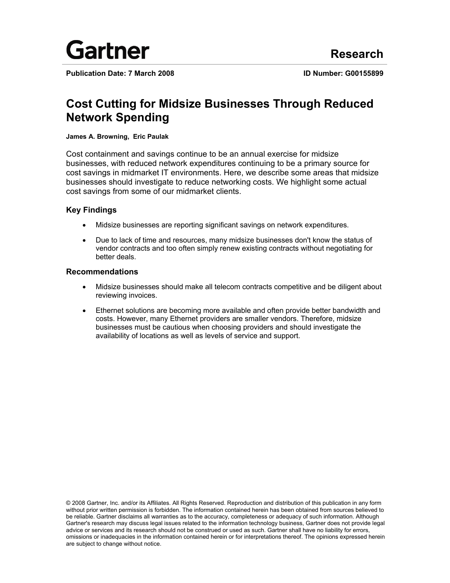

**Publication Date: 7 March 2008 ID Number: G00155899**

# **Cost Cutting for Midsize Businesses Through Reduced Network Spending**

### **James A. Browning, Eric Paulak**

Cost containment and savings continue to be an annual exercise for midsize businesses, with reduced network expenditures continuing to be a primary source for cost savings in midmarket IT environments. Here, we describe some areas that midsize businesses should investigate to reduce networking costs. We highlight some actual cost savings from some of our midmarket clients.

### **Key Findings**

- Midsize businesses are reporting significant savings on network expenditures.
- Due to lack of time and resources, many midsize businesses don't know the status of vendor contracts and too often simply renew existing contracts without negotiating for better deals.

### **Recommendations**

- Midsize businesses should make all telecom contracts competitive and be diligent about reviewing invoices.
- Ethernet solutions are becoming more available and often provide better bandwidth and costs. However, many Ethernet providers are smaller vendors. Therefore, midsize businesses must be cautious when choosing providers and should investigate the availability of locations as well as levels of service and support.

© 2008 Gartner, Inc. and/or its Affiliates. All Rights Reserved. Reproduction and distribution of this publication in any form without prior written permission is forbidden. The information contained herein has been obtained from sources believed to be reliable. Gartner disclaims all warranties as to the accuracy, completeness or adequacy of such information. Although Gartner's research may discuss legal issues related to the information technology business, Gartner does not provide legal advice or services and its research should not be construed or used as such. Gartner shall have no liability for errors, omissions or inadequacies in the information contained herein or for interpretations thereof. The opinions expressed herein are subject to change without notice.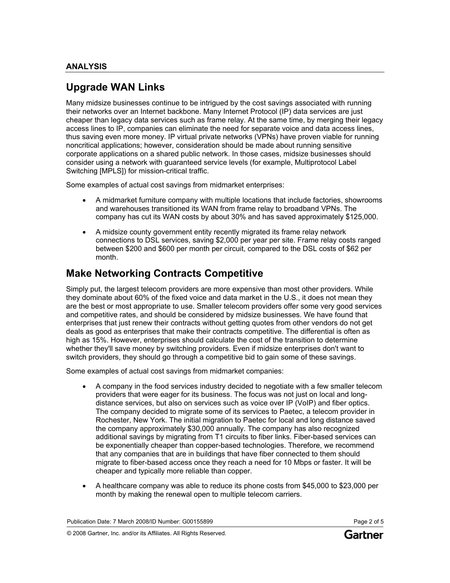## **Upgrade WAN Links**

Many midsize businesses continue to be intrigued by the cost savings associated with running their networks over an Internet backbone. Many Internet Protocol (IP) data services are just cheaper than legacy data services such as frame relay. At the same time, by merging their legacy access lines to IP, companies can eliminate the need for separate voice and data access lines, thus saving even more money. IP virtual private networks (VPNs) have proven viable for running noncritical applications; however, consideration should be made about running sensitive corporate applications on a shared public network. In those cases, midsize businesses should consider using a network with guaranteed service levels (for example, Multiprotocol Label Switching [MPLS]) for mission-critical traffic.

Some examples of actual cost savings from midmarket enterprises:

- A midmarket furniture company with multiple locations that include factories, showrooms and warehouses transitioned its WAN from frame relay to broadband VPNs. The company has cut its WAN costs by about 30% and has saved approximately \$125,000.
- A midsize county government entity recently migrated its frame relay network connections to DSL services, saving \$2,000 per year per site. Frame relay costs ranged between \$200 and \$600 per month per circuit, compared to the DSL costs of \$62 per month.

## **Make Networking Contracts Competitive**

Simply put, the largest telecom providers are more expensive than most other providers. While they dominate about 60% of the fixed voice and data market in the U.S., it does not mean they are the best or most appropriate to use. Smaller telecom providers offer some very good services and competitive rates, and should be considered by midsize businesses. We have found that enterprises that just renew their contracts without getting quotes from other vendors do not get deals as good as enterprises that make their contracts competitive. The differential is often as high as 15%. However, enterprises should calculate the cost of the transition to determine whether they'll save money by switching providers. Even if midsize enterprises don't want to switch providers, they should go through a competitive bid to gain some of these savings.

Some examples of actual cost savings from midmarket companies:

- A company in the food services industry decided to negotiate with a few smaller telecom providers that were eager for its business. The focus was not just on local and longdistance services, but also on services such as voice over IP (VoIP) and fiber optics. The company decided to migrate some of its services to Paetec, a telecom provider in Rochester, New York. The initial migration to Paetec for local and long distance saved the company approximately \$30,000 annually. The company has also recognized additional savings by migrating from T1 circuits to fiber links. Fiber-based services can be exponentially cheaper than copper-based technologies. Therefore, we recommend that any companies that are in buildings that have fiber connected to them should migrate to fiber-based access once they reach a need for 10 Mbps or faster. It will be cheaper and typically more reliable than copper.
- A healthcare company was able to reduce its phone costs from \$45,000 to \$23,000 per month by making the renewal open to multiple telecom carriers.

Publication Date: 7 March 2008/ID Number: G00155899 Page 2 of 5

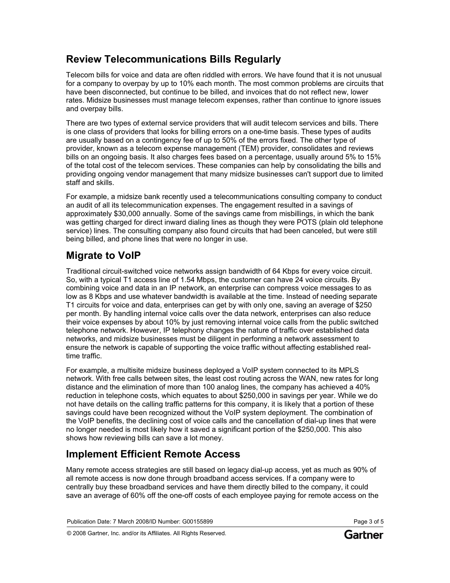## **Review Telecommunications Bills Regularly**

Telecom bills for voice and data are often riddled with errors. We have found that it is not unusual for a company to overpay by up to 10% each month. The most common problems are circuits that have been disconnected, but continue to be billed, and invoices that do not reflect new, lower rates. Midsize businesses must manage telecom expenses, rather than continue to ignore issues and overpay bills.

There are two types of external service providers that will audit telecom services and bills. There is one class of providers that looks for billing errors on a one-time basis. These types of audits are usually based on a contingency fee of up to 50% of the errors fixed. The other type of provider, known as a telecom expense management (TEM) provider, consolidates and reviews bills on an ongoing basis. It also charges fees based on a percentage, usually around 5% to 15% of the total cost of the telecom services. These companies can help by consolidating the bills and providing ongoing vendor management that many midsize businesses can't support due to limited staff and skills.

For example, a midsize bank recently used a telecommunications consulting company to conduct an audit of all its telecommunication expenses. The engagement resulted in a savings of approximately \$30,000 annually. Some of the savings came from misbillings, in which the bank was getting charged for direct inward dialing lines as though they were POTS (plain old telephone service) lines. The consulting company also found circuits that had been canceled, but were still being billed, and phone lines that were no longer in use.

# **Migrate to VoIP**

Traditional circuit-switched voice networks assign bandwidth of 64 Kbps for every voice circuit. So, with a typical T1 access line of 1.54 Mbps, the customer can have 24 voice circuits. By combining voice and data in an IP network, an enterprise can compress voice messages to as low as 8 Kbps and use whatever bandwidth is available at the time. Instead of needing separate T1 circuits for voice and data, enterprises can get by with only one, saving an average of \$250 per month. By handling internal voice calls over the data network, enterprises can also reduce their voice expenses by about 10% by just removing internal voice calls from the public switched telephone network. However, IP telephony changes the nature of traffic over established data networks, and midsize businesses must be diligent in performing a network assessment to ensure the network is capable of supporting the voice traffic without affecting established realtime traffic.

For example, a multisite midsize business deployed a VoIP system connected to its MPLS network. With free calls between sites, the least cost routing across the WAN, new rates for long distance and the elimination of more than 100 analog lines, the company has achieved a 40% reduction in telephone costs, which equates to about \$250,000 in savings per year. While we do not have details on the calling traffic patterns for this company, it is likely that a portion of these savings could have been recognized without the VoIP system deployment. The combination of the VoIP benefits, the declining cost of voice calls and the cancellation of dial-up lines that were no longer needed is most likely how it saved a significant portion of the \$250,000. This also shows how reviewing bills can save a lot money.

# **Implement Efficient Remote Access**

Many remote access strategies are still based on legacy dial-up access, yet as much as 90% of all remote access is now done through broadband access services. If a company were to centrally buy these broadband services and have them directly billed to the company, it could save an average of 60% off the one-off costs of each employee paying for remote access on the

Publication Date: 7 March 2008/ID Number: G00155899 Page 3 of 5

© 2008 Gartner, Inc. and/or its Affiliates. All Rights Reserved.

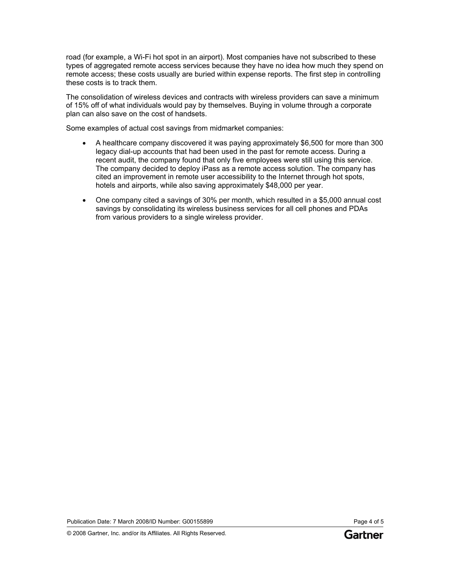road (for example, a Wi-Fi hot spot in an airport). Most companies have not subscribed to these types of aggregated remote access services because they have no idea how much they spend on remote access; these costs usually are buried within expense reports. The first step in controlling these costs is to track them.

The consolidation of wireless devices and contracts with wireless providers can save a minimum of 15% off of what individuals would pay by themselves. Buying in volume through a corporate plan can also save on the cost of handsets.

Some examples of actual cost savings from midmarket companies:

- A healthcare company discovered it was paying approximately \$6,500 for more than 300 legacy dial-up accounts that had been used in the past for remote access. During a recent audit, the company found that only five employees were still using this service. The company decided to deploy iPass as a remote access solution. The company has cited an improvement in remote user accessibility to the Internet through hot spots, hotels and airports, while also saving approximately \$48,000 per year.
- One company cited a savings of 30% per month, which resulted in a \$5,000 annual cost savings by consolidating its wireless business services for all cell phones and PDAs from various providers to a single wireless provider.

Publication Date: 7 March 2008/ID Number: G00155899 Page 4 of 5